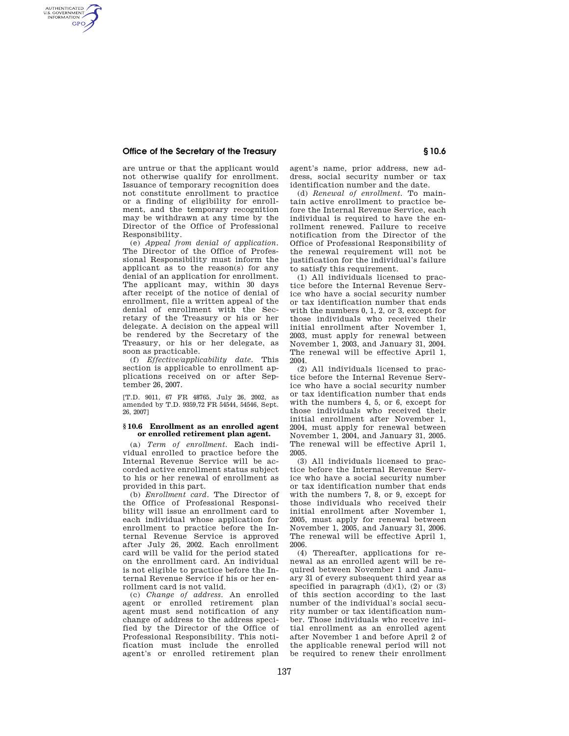AUTHENTICATED<br>U.S. GOVERNMENT<br>INFORMATION **GPO** 

> are untrue or that the applicant would not otherwise qualify for enrollment. Issuance of temporary recognition does not constitute enrollment to practice or a finding of eligibility for enrollment, and the temporary recognition may be withdrawn at any time by the Director of the Office of Professional Responsibility.

> (e) *Appeal from denial of application.*  The Director of the Office of Professional Responsibility must inform the applicant as to the reason(s) for any denial of an application for enrollment. The applicant may, within 30 days after receipt of the notice of denial of enrollment, file a written appeal of the denial of enrollment with the Secretary of the Treasury or his or her delegate. A decision on the appeal will be rendered by the Secretary of the Treasury, or his or her delegate, as soon as practicable.

> (f) *Effective/applicability date.* This section is applicable to enrollment applications received on or after September 26, 2007.

> [T.D. 9011, 67 FR 48765, July 26, 2002, as amended by T.D. 9359,72 FR 54544, 54546, Sept. 26, 2007]

#### **§ 10.6 Enrollment as an enrolled agent or enrolled retirement plan agent.**

(a) *Term of enrollment.* Each individual enrolled to practice before the Internal Revenue Service will be accorded active enrollment status subject to his or her renewal of enrollment as provided in this part.

(b) *Enrollment card.* The Director of the Office of Professional Responsibility will issue an enrollment card to each individual whose application for enrollment to practice before the Internal Revenue Service is approved after July 26, 2002. Each enrollment card will be valid for the period stated on the enrollment card. An individual is not eligible to practice before the Internal Revenue Service if his or her enrollment card is not valid.

(c) *Change of address.* An enrolled agent or enrolled retirement plan agent must send notification of any change of address to the address specified by the Director of the Office of Professional Responsibility. This notification must include the enrolled agent's or enrolled retirement plan agent's name, prior address, new address, social security number or tax identification number and the date.

(d) *Renewal of enrollment.* To maintain active enrollment to practice before the Internal Revenue Service, each individual is required to have the enrollment renewed. Failure to receive notification from the Director of the Office of Professional Responsibility of the renewal requirement will not be justification for the individual's failure to satisfy this requirement.

(1) All individuals licensed to practice before the Internal Revenue Service who have a social security number or tax identification number that ends with the numbers 0, 1, 2, or 3, except for those individuals who received their initial enrollment after November 1, 2003, must apply for renewal between November 1, 2003, and January 31, 2004. The renewal will be effective April 1, 2004.

(2) All individuals licensed to practice before the Internal Revenue Service who have a social security number or tax identification number that ends with the numbers 4, 5, or 6, except for those individuals who received their initial enrollment after November 1, 2004, must apply for renewal between November 1, 2004, and January 31, 2005. The renewal will be effective April 1, 2005.

(3) All individuals licensed to practice before the Internal Revenue Service who have a social security number or tax identification number that ends with the numbers 7, 8, or 9, except for those individuals who received their initial enrollment after November 1, 2005, must apply for renewal between November 1, 2005, and January 31, 2006. The renewal will be effective April 1, 2006.

(4) Thereafter, applications for renewal as an enrolled agent will be required between November 1 and January 31 of every subsequent third year as specified in paragraph  $(d)(1)$ ,  $(2)$  or  $(3)$ of this section according to the last number of the individual's social security number or tax identification number. Those individuals who receive initial enrollment as an enrolled agent after November 1 and before April 2 of the applicable renewal period will not be required to renew their enrollment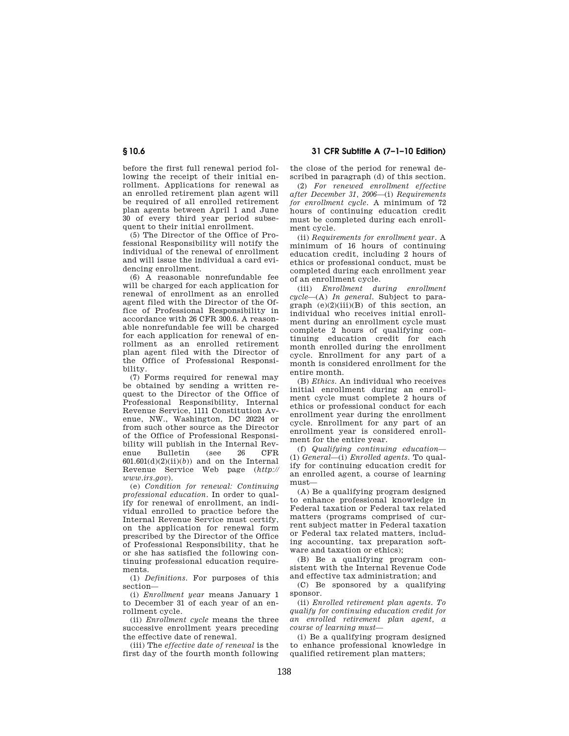**§ 10.6 31 CFR Subtitle A (7–1–10 Edition)** 

before the first full renewal period following the receipt of their initial enrollment. Applications for renewal as an enrolled retirement plan agent will be required of all enrolled retirement plan agents between April 1 and June 30 of every third year period subsequent to their initial enrollment.

(5) The Director of the Office of Professional Responsibility will notify the individual of the renewal of enrollment and will issue the individual a card evidencing enrollment.

(6) A reasonable nonrefundable fee will be charged for each application for renewal of enrollment as an enrolled agent filed with the Director of the Office of Professional Responsibility in accordance with 26 CFR 300.6. A reasonable nonrefundable fee will be charged for each application for renewal of enrollment as an enrolled retirement plan agent filed with the Director of the Office of Professional Responsibility.

(7) Forms required for renewal may be obtained by sending a written request to the Director of the Office of Professional Responsibility, Internal Revenue Service, 1111 Constitution Avenue, NW., Washington, DC 20224 or from such other source as the Director of the Office of Professional Responsibility will publish in the Internal Revenue Bulletin (see 26 CFR  $601.601(d)(2)(ii)(b)$  and on the Internal Revenue Service Web page (*http:// www.irs.gov*).

(e) *Condition for renewal: Continuing professional education.* In order to qualify for renewal of enrollment, an individual enrolled to practice before the Internal Revenue Service must certify, on the application for renewal form prescribed by the Director of the Office of Professional Responsibility, that he or she has satisfied the following continuing professional education requirements.

(1) *Definitions.* For purposes of this section—

(i) *Enrollment year* means January 1 to December 31 of each year of an enrollment cycle.

(ii) *Enrollment cycle* means the three successive enrollment years preceding the effective date of renewal.

(iii) The *effective date of renewal* is the first day of the fourth month following the close of the period for renewal described in paragraph (d) of this section.

(2) *For renewed enrollment effective after December 31, 2006*—(i) *Requirements for enrollment cycle.* A minimum of 72 hours of continuing education credit must be completed during each enrollment cycle.

(ii) *Requirements for enrollment year.* A minimum of 16 hours of continuing education credit, including 2 hours of ethics or professional conduct, must be completed during each enrollment year of an enrollment cycle.

(iii) *Enrollment during enrollment cycle*—(A) *In general.* Subject to paragraph  $(e)(2)(iii)(B)$  of this section, an individual who receives initial enrollment during an enrollment cycle must complete 2 hours of qualifying continuing education credit for each month enrolled during the enrollment cycle. Enrollment for any part of a month is considered enrollment for the entire month.

(B) *Ethics.* An individual who receives initial enrollment during an enrollment cycle must complete 2 hours of ethics or professional conduct for each enrollment year during the enrollment cycle. Enrollment for any part of an enrollment year is considered enrollment for the entire year.

(f) *Qualifying continuing education*— (1) *General*—(i) *Enrolled agents.* To qualify for continuing education credit for an enrolled agent, a course of learning must—

(A) Be a qualifying program designed to enhance professional knowledge in Federal taxation or Federal tax related matters (programs comprised of current subject matter in Federal taxation or Federal tax related matters, including accounting, tax preparation software and taxation or ethics);

(B) Be a qualifying program consistent with the Internal Revenue Code and effective tax administration; and

(C) Be sponsored by a qualifying sponsor.

(ii) *Enrolled retirement plan agents. To qualify for continuing education credit for an enrolled retirement plan agent, a course of learning must*—

(i) Be a qualifying program designed to enhance professional knowledge in qualified retirement plan matters;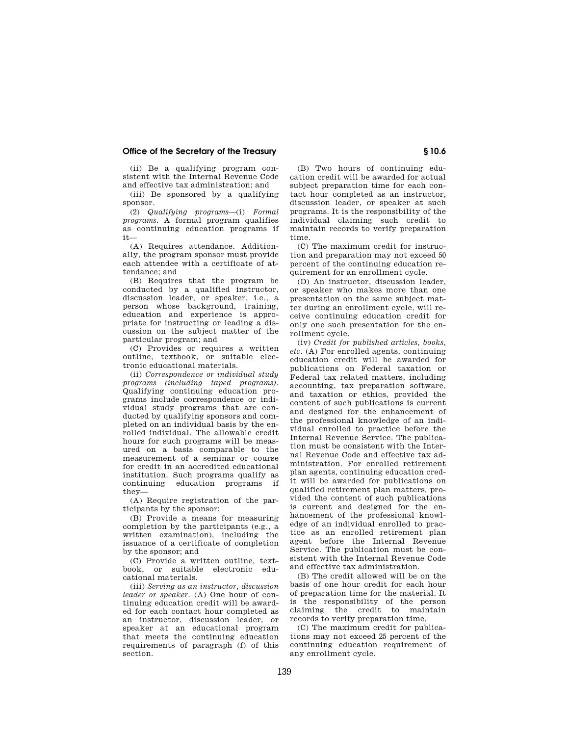(ii) Be a qualifying program consistent with the Internal Revenue Code and effective tax administration; and

(iii) Be sponsored by a qualifying sponsor.

(2) *Qualifying programs*—(i) *Formal programs.* A formal program qualifies as continuing education programs if it—

(A) Requires attendance. Additionally, the program sponsor must provide each attendee with a certificate of attendance; and

(B) Requires that the program be conducted by a qualified instructor, discussion leader, or speaker, i.e., a person whose background, training, education and experience is appropriate for instructing or leading a discussion on the subject matter of the particular program; and

(C) Provides or requires a written outline, textbook, or suitable electronic educational materials.

(ii) *Correspondence or individual study programs (including taped programs).*  Qualifying continuing education programs include correspondence or individual study programs that are conducted by qualifying sponsors and completed on an individual basis by the enrolled individual. The allowable credit hours for such programs will be measured on a basis comparable to the measurement of a seminar or course for credit in an accredited educational institution. Such programs qualify as continuing education programs if they—

(A) Require registration of the participants by the sponsor;

(B) Provide a means for measuring completion by the participants (e.g., a written examination), including the issuance of a certificate of completion by the sponsor; and

(C) Provide a written outline, textbook, or suitable electronic educational materials.

(iii) *Serving as an instructor, discussion leader or speaker.* (A) One hour of continuing education credit will be awarded for each contact hour completed as an instructor, discussion leader, or speaker at an educational program that meets the continuing education requirements of paragraph (f) of this section.

(B) Two hours of continuing education credit will be awarded for actual subject preparation time for each contact hour completed as an instructor, discussion leader, or speaker at such programs. It is the responsibility of the individual claiming such credit to maintain records to verify preparation time.

(C) The maximum credit for instruction and preparation may not exceed 50 percent of the continuing education requirement for an enrollment cycle.

(D) An instructor, discussion leader, or speaker who makes more than one presentation on the same subject matter during an enrollment cycle, will receive continuing education credit for only one such presentation for the enrollment cycle.

(iv) *Credit for published articles, books, etc.* (A) For enrolled agents, continuing education credit will be awarded for publications on Federal taxation or Federal tax related matters, including accounting, tax preparation software, and taxation or ethics, provided the content of such publications is current and designed for the enhancement of the professional knowledge of an individual enrolled to practice before the Internal Revenue Service. The publication must be consistent with the Internal Revenue Code and effective tax administration. For enrolled retirement plan agents, continuing education credit will be awarded for publications on qualified retirement plan matters, provided the content of such publications is current and designed for the enhancement of the professional knowledge of an individual enrolled to practice as an enrolled retirement plan agent before the Internal Revenue Service. The publication must be consistent with the Internal Revenue Code and effective tax administration.

(B) The credit allowed will be on the basis of one hour credit for each hour of preparation time for the material. It is the responsibility of the person claiming the credit to maintain records to verify preparation time.

(C) The maximum credit for publications may not exceed 25 percent of the continuing education requirement of any enrollment cycle.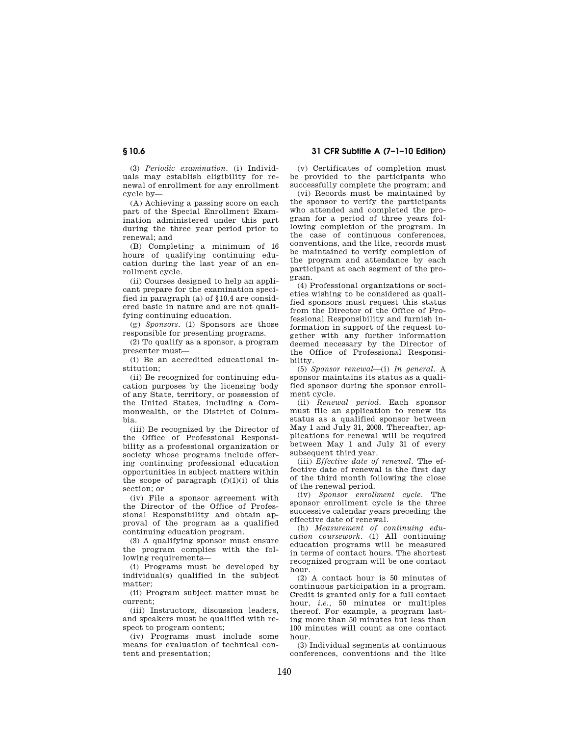**§ 10.6 31 CFR Subtitle A (7–1–10 Edition)** 

(3) *Periodic examination.* (i) Individuals may establish eligibility for renewal of enrollment for any enrollment cycle by—

(A) Achieving a passing score on each part of the Special Enrollment Examination administered under this part during the three year period prior to renewal; and

(B) Completing a minimum of 16 hours of qualifying continuing education during the last year of an enrollment cycle.

(ii) Courses designed to help an applicant prepare for the examination specified in paragraph (a) of §10.4 are considered basic in nature and are not qualifying continuing education.

(g) *Sponsors.* (1) Sponsors are those responsible for presenting programs.

(2) To qualify as a sponsor, a program presenter must—

(i) Be an accredited educational institution;

(ii) Be recognized for continuing education purposes by the licensing body of any State, territory, or possession of the United States, including a Commonwealth, or the District of Columbia.

(iii) Be recognized by the Director of the Office of Professional Responsibility as a professional organization or society whose programs include offering continuing professional education opportunities in subject matters within the scope of paragraph  $(f)(1)(i)$  of this section; or

(iv) File a sponsor agreement with the Director of the Office of Professional Responsibility and obtain approval of the program as a qualified continuing education program.

(3) A qualifying sponsor must ensure the program complies with the following requirements—

(i) Programs must be developed by individual(s) qualified in the subject matter;

(ii) Program subject matter must be current;

(iii) Instructors, discussion leaders, and speakers must be qualified with respect to program content;

(iv) Programs must include some means for evaluation of technical content and presentation;

(v) Certificates of completion must be provided to the participants who successfully complete the program; and

(vi) Records must be maintained by the sponsor to verify the participants who attended and completed the program for a period of three years following completion of the program. In the case of continuous conferences, conventions, and the like, records must be maintained to verify completion of the program and attendance by each participant at each segment of the program.

(4) Professional organizations or societies wishing to be considered as qualified sponsors must request this status from the Director of the Office of Professional Responsibility and furnish information in support of the request together with any further information deemed necessary by the Director of the Office of Professional Responsibility.

(5) *Sponsor renewal*—(i) *In general.* A sponsor maintains its status as a qualified sponsor during the sponsor enrollment cycle.

(ii) *Renewal period.* Each sponsor must file an application to renew its status as a qualified sponsor between May 1 and July 31, 2008. Thereafter, applications for renewal will be required between May 1 and July 31 of every subsequent third year.

(iii) *Effective date of renewal.* The effective date of renewal is the first day of the third month following the close of the renewal period.

(iv) *Sponsor enrollment cycle.* The sponsor enrollment cycle is the three successive calendar years preceding the effective date of renewal.

(h) *Measurement of continuing education coursework.* (1) All continuing education programs will be measured in terms of contact hours. The shortest recognized program will be one contact hour.

(2) A contact hour is 50 minutes of continuous participation in a program. Credit is granted only for a full contact hour, *i.e.,* 50 minutes or multiples thereof. For example, a program lasting more than 50 minutes but less than 100 minutes will count as one contact hour.

(3) Individual segments at continuous conferences, conventions and the like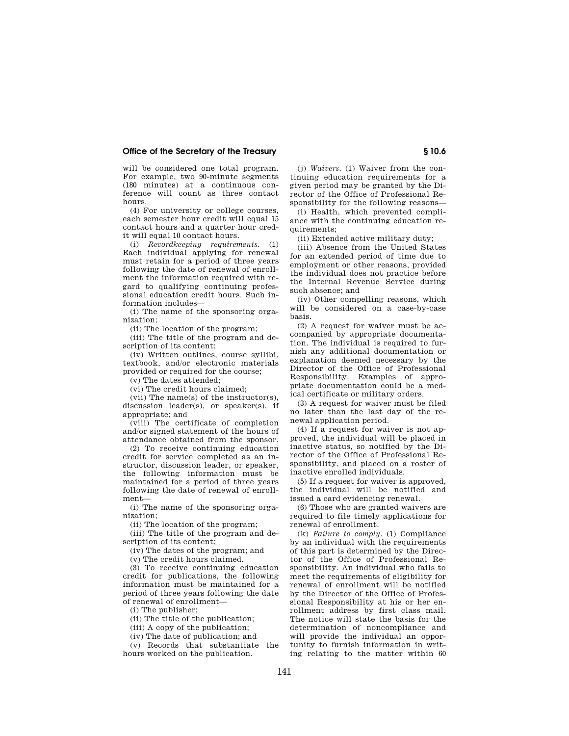will be considered one total program. For example, two 90-minute segments (180 minutes) at a continuous conference will count as three contact hours.

(4) For university or college courses, each semester hour credit will equal 15 contact hours and a quarter hour credit will equal 10 contact hours.

(i) *Recordkeeping requirements.* (1) Each individual applying for renewal must retain for a period of three years following the date of renewal of enrollment the information required with regard to qualifying continuing professional education credit hours. Such information includes—

(i) The name of the sponsoring organization;

(ii) The location of the program;

(iii) The title of the program and description of its content;

(iv) Written outlines, course syllibi, textbook, and/or electronic materials provided or required for the course;

(v) The dates attended;

(vi) The credit hours claimed;

(vii) The name(s) of the instructor(s), discussion leader(s), or speaker(s), if appropriate; and

(viii) The certificate of completion and/or signed statement of the hours of attendance obtained from the sponsor.

(2) To receive continuing education credit for service completed as an instructor, discussion leader, or speaker, the following information must be maintained for a period of three years following the date of renewal of enrollment—

(i) The name of the sponsoring organization;

(ii) The location of the program;

(iii) The title of the program and description of its content;

(iv) The dates of the program; and

(v) The credit hours claimed.

(3) To receive continuing education credit for publications, the following information must be maintained for a period of three years following the date of renewal of enrollment—

(i) The publisher;

(ii) The title of the publication;

(iii) A copy of the publication;

(iv) The date of publication; and

(v) Records that substantiate the hours worked on the publication.

(j) *Waivers.* (1) Waiver from the continuing education requirements for a given period may be granted by the Director of the Office of Professional Responsibility for the following reasons—

(i) Health, which prevented compliance with the continuing education requirements;

(ii) Extended active military duty;

(iii) Absence from the United States for an extended period of time due to employment or other reasons, provided the individual does not practice before the Internal Revenue Service during such absence; and

(iv) Other compelling reasons, which will be considered on a case-by-case basis.

(2) A request for waiver must be accompanied by appropriate documentation. The individual is required to furnish any additional documentation or explanation deemed necessary by the Director of the Office of Professional Responsibility. Examples of appropriate documentation could be a medical certificate or military orders.

(3) A request for waiver must be filed no later than the last day of the renewal application period.

(4) If a request for waiver is not approved, the individual will be placed in inactive status, so notified by the Director of the Office of Professional Responsibility, and placed on a roster of inactive enrolled individuals.

(5) If a request for waiver is approved, the individual will be notified and issued a card evidencing renewal.

(6) Those who are granted waivers are required to file timely applications for renewal of enrollment.

(k) *Failure to comply.* (1) Compliance by an individual with the requirements of this part is determined by the Director of the Office of Professional Responsibility. An individual who fails to meet the requirements of eligibility for renewal of enrollment will be notified by the Director of the Office of Professional Responsibility at his or her enrollment address by first class mail. The notice will state the basis for the determination of noncompliance and will provide the individual an opportunity to furnish information in writing relating to the matter within 60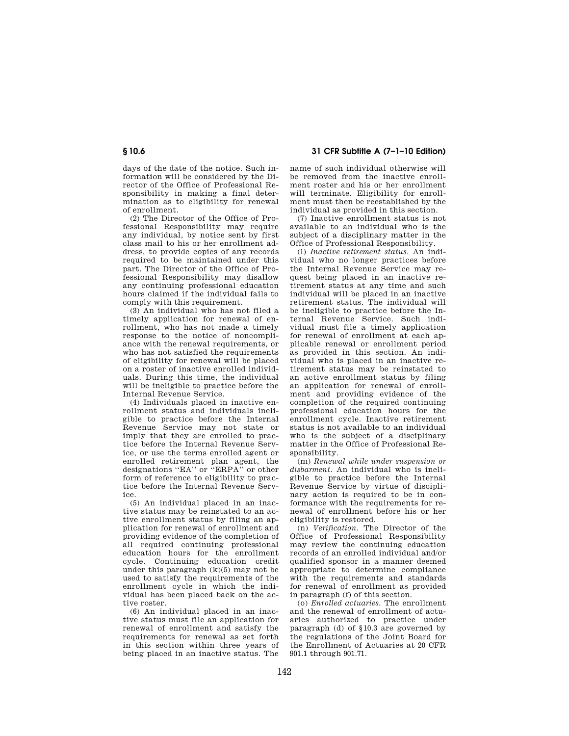# **§ 10.6 31 CFR Subtitle A (7–1–10 Edition)**

days of the date of the notice. Such information will be considered by the Director of the Office of Professional Responsibility in making a final determination as to eligibility for renewal of enrollment.

(2) The Director of the Office of Professional Responsibility may require any individual, by notice sent by first class mail to his or her enrollment address, to provide copies of any records required to be maintained under this part. The Director of the Office of Professional Responsibility may disallow any continuing professional education hours claimed if the individual fails to comply with this requirement.

(3) An individual who has not filed a timely application for renewal of enrollment, who has not made a timely response to the notice of noncompliance with the renewal requirements, or who has not satisfied the requirements of eligibility for renewal will be placed on a roster of inactive enrolled individuals. During this time, the individual will be ineligible to practice before the Internal Revenue Service.

(4) Individuals placed in inactive enrollment status and individuals ineligible to practice before the Internal Revenue Service may not state or imply that they are enrolled to practice before the Internal Revenue Service, or use the terms enrolled agent or enrolled retirement plan agent, the designations ''EA'' or ''ERPA'' or other form of reference to eligibility to practice before the Internal Revenue Service.

(5) An individual placed in an inactive status may be reinstated to an active enrollment status by filing an application for renewal of enrollment and providing evidence of the completion of all required continuing professional education hours for the enrollment cycle. Continuing education credit under this paragraph (k)(5) may not be used to satisfy the requirements of the enrollment cycle in which the individual has been placed back on the active roster.

(6) An individual placed in an inactive status must file an application for renewal of enrollment and satisfy the requirements for renewal as set forth in this section within three years of being placed in an inactive status. The

name of such individual otherwise will be removed from the inactive enrollment roster and his or her enrollment will terminate. Eligibility for enrollment must then be reestablished by the individual as provided in this section.

(7) Inactive enrollment status is not available to an individual who is the subject of a disciplinary matter in the Office of Professional Responsibility.

(l) *Inactive retirement status.* An individual who no longer practices before the Internal Revenue Service may request being placed in an inactive retirement status at any time and such individual will be placed in an inactive retirement status. The individual will be ineligible to practice before the Internal Revenue Service. Such individual must file a timely application for renewal of enrollment at each applicable renewal or enrollment period as provided in this section. An individual who is placed in an inactive retirement status may be reinstated to an active enrollment status by filing an application for renewal of enrollment and providing evidence of the completion of the required continuing professional education hours for the enrollment cycle. Inactive retirement status is not available to an individual who is the subject of a disciplinary matter in the Office of Professional Responsibility

(m) *Renewal while under suspension or disbarment.* An individual who is ineligible to practice before the Internal Revenue Service by virtue of disciplinary action is required to be in conformance with the requirements for renewal of enrollment before his or her eligibility is restored.

(n) *Verification.* The Director of the Office of Professional Responsibility may review the continuing education records of an enrolled individual and/or qualified sponsor in a manner deemed appropriate to determine compliance with the requirements and standards for renewal of enrollment as provided in paragraph (f) of this section.

(o) *Enrolled actuaries.* The enrollment and the renewal of enrollment of actuaries authorized to practice under paragraph (d) of §10.3 are governed by the regulations of the Joint Board for the Enrollment of Actuaries at 20 CFR 901.1 through 901.71.